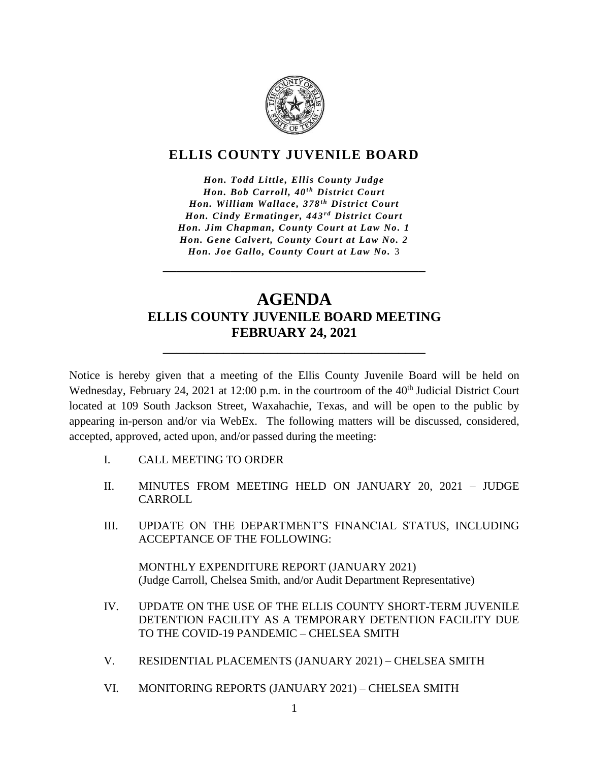

# **ELLIS COUNTY JUVENILE BOARD**

*Hon. Todd Little, Ellis County Judge Hon. Bob Carroll, 40<sup>th</sup> District Court Hon. William Wallace, 378<sup>th</sup> District Court Hon. Cindy Ermatinger, 443<sup>rd</sup> District Court Hon. Jim Chapman, County Court at Law No. 1 Hon. Gene Calvert, County Court at Law No. 2 Hon. Joe Gallo, County Court at Law No.* 3

# **AGENDA ELLIS COUNTY JUVENILE BOARD MEETING FEBRUARY 24, 2021**

**\_\_\_\_\_\_\_\_\_\_\_\_\_\_\_\_\_\_\_\_\_\_\_\_\_\_\_\_\_\_\_\_\_\_\_\_\_\_\_**

**\_\_\_\_\_\_\_\_\_\_\_\_\_\_\_\_\_\_\_\_\_\_\_\_\_\_\_\_\_\_\_\_\_\_\_\_\_\_\_**

Notice is hereby given that a meeting of the Ellis County Juvenile Board will be held on Wednesday, February 24, 2021 at 12:00 p.m. in the courtroom of the 40<sup>th</sup> Judicial District Court located at 109 South Jackson Street, Waxahachie, Texas, and will be open to the public by appearing in-person and/or via WebEx. The following matters will be discussed, considered, accepted, approved, acted upon, and/or passed during the meeting:

- I. CALL MEETING TO ORDER
- II. MINUTES FROM MEETING HELD ON JANUARY 20, 2021 JUDGE CARROLL
- III. UPDATE ON THE DEPARTMENT'S FINANCIAL STATUS, INCLUDING ACCEPTANCE OF THE FOLLOWING:

MONTHLY EXPENDITURE REPORT (JANUARY 2021) (Judge Carroll, Chelsea Smith, and/or Audit Department Representative)

- IV. UPDATE ON THE USE OF THE ELLIS COUNTY SHORT-TERM JUVENILE DETENTION FACILITY AS A TEMPORARY DETENTION FACILITY DUE TO THE COVID-19 PANDEMIC – CHELSEA SMITH
- V. RESIDENTIAL PLACEMENTS (JANUARY 2021) CHELSEA SMITH
- VI. MONITORING REPORTS (JANUARY 2021) CHELSEA SMITH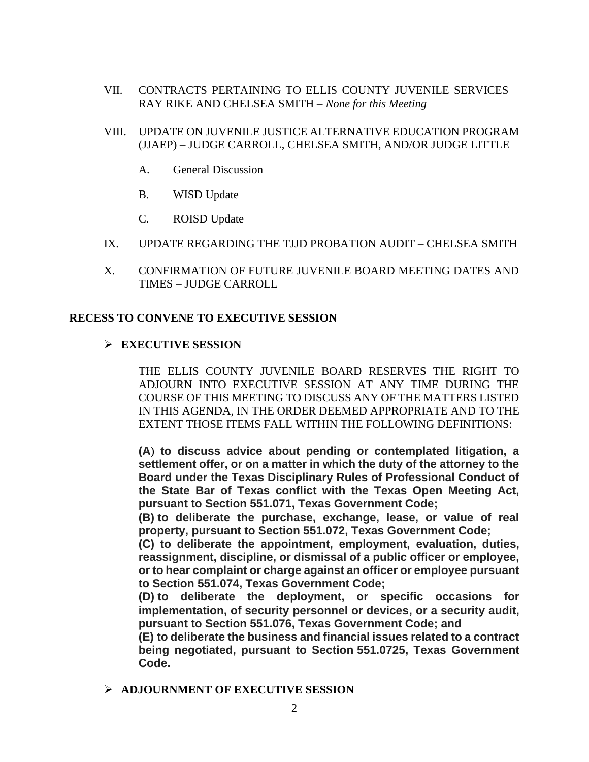- VII. CONTRACTS PERTAINING TO ELLIS COUNTY JUVENILE SERVICES RAY RIKE AND CHELSEA SMITH – *None for this Meeting*
- VIII. UPDATE ON JUVENILE JUSTICE ALTERNATIVE EDUCATION PROGRAM (JJAEP) – JUDGE CARROLL, CHELSEA SMITH, AND/OR JUDGE LITTLE
	- A. General Discussion
	- B. WISD Update
	- C. ROISD Update
- IX. UPDATE REGARDING THE TJJD PROBATION AUDIT CHELSEA SMITH
- X. CONFIRMATION OF FUTURE JUVENILE BOARD MEETING DATES AND TIMES – JUDGE CARROLL

## **RECESS TO CONVENE TO EXECUTIVE SESSION**

### ➢ **EXECUTIVE SESSION**

THE ELLIS COUNTY JUVENILE BOARD RESERVES THE RIGHT TO ADJOURN INTO EXECUTIVE SESSION AT ANY TIME DURING THE COURSE OF THIS MEETING TO DISCUSS ANY OF THE MATTERS LISTED IN THIS AGENDA, IN THE ORDER DEEMED APPROPRIATE AND TO THE EXTENT THOSE ITEMS FALL WITHIN THE FOLLOWING DEFINITIONS:

**(A**) **to discuss advice about pending or contemplated litigation, a settlement offer, or on a matter in which the duty of the attorney to the Board under the Texas Disciplinary Rules of Professional Conduct of the State Bar of Texas conflict with the Texas Open Meeting Act, pursuant to Section 551.071, Texas Government Code;**

**(B) to deliberate the purchase, exchange, lease, or value of real property, pursuant to Section 551.072, Texas Government Code;**

**(C) to deliberate the appointment, employment, evaluation, duties, reassignment, discipline, or dismissal of a public officer or employee, or to hear complaint or charge against an officer or employee pursuant to Section 551.074, Texas Government Code;**

**(D) to deliberate the deployment, or specific occasions for implementation, of security personnel or devices, or a security audit, pursuant to Section 551.076, Texas Government Code; and**

**(E) to deliberate the business and financial issues related to a contract being negotiated, pursuant to Section [551.0725,](tel:551.0725) Texas Government Code.**

➢ **ADJOURNMENT OF EXECUTIVE SESSION**